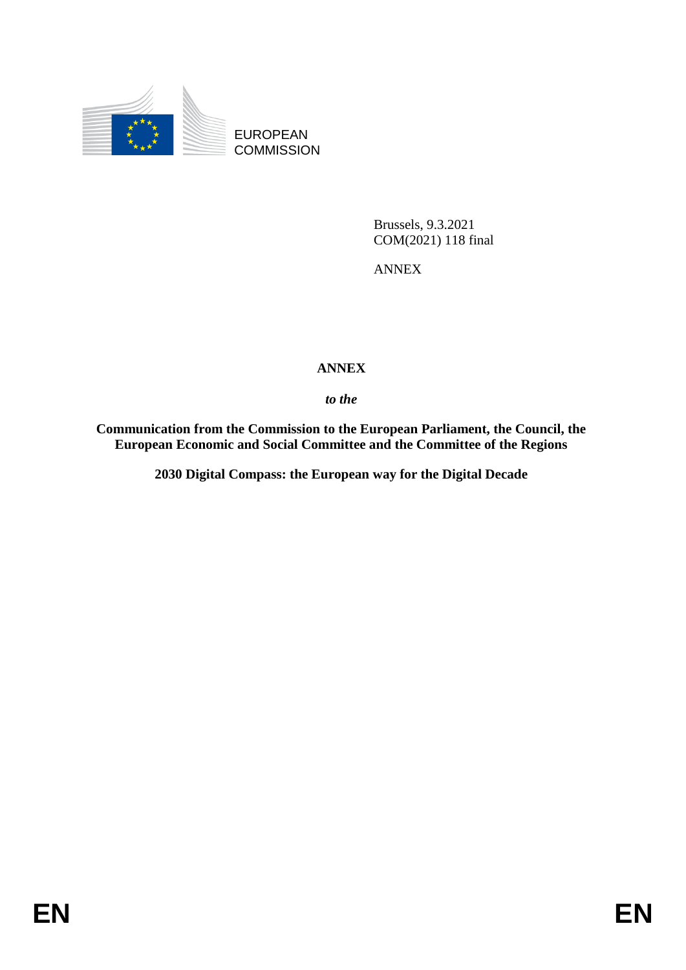

EUROPEAN **COMMISSION** 

> Brussels, 9.3.2021 COM(2021) 118 final

ANNEX

## **ANNEX**

*to the* 

**Communication from the Commission to the European Parliament, the Council, the European Economic and Social Committee and the Committee of the Regions**

**2030 Digital Compass: the European way for the Digital Decade**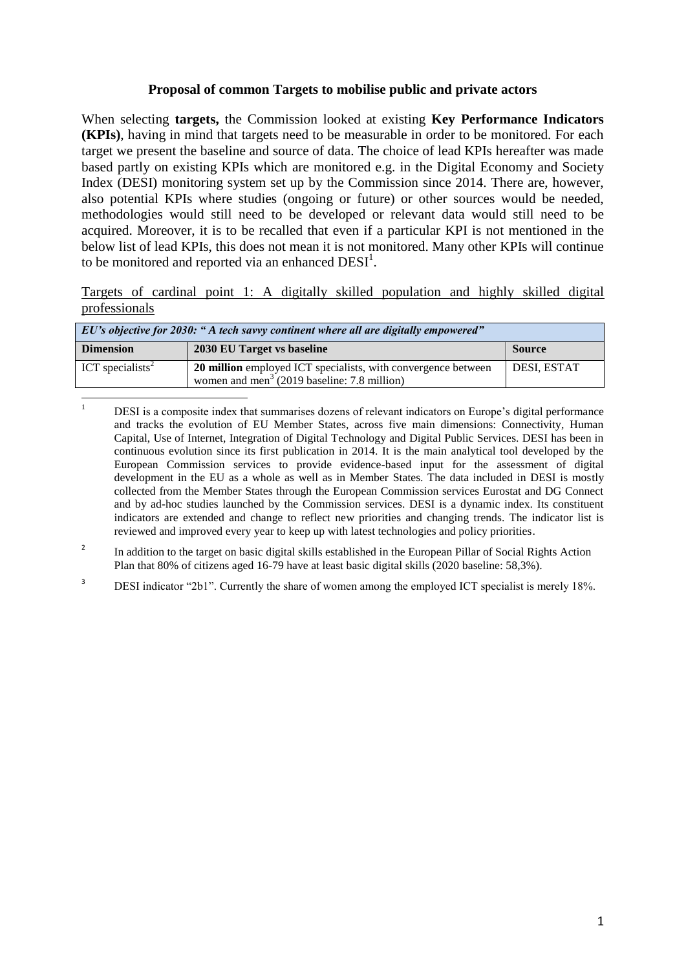## **Proposal of common Targets to mobilise public and private actors**

When selecting **targets,** the Commission looked at existing **Key Performance Indicators (KPIs)**, having in mind that targets need to be measurable in order to be monitored. For each target we present the baseline and source of data. The choice of lead KPIs hereafter was made based partly on existing KPIs which are monitored e.g. in the Digital Economy and Society Index (DESI) monitoring system set up by the Commission since 2014. There are, however, also potential KPIs where studies (ongoing or future) or other sources would be needed, methodologies would still need to be developed or relevant data would still need to be acquired. Moreover, it is to be recalled that even if a particular KPI is not mentioned in the below list of lead KPIs, this does not mean it is not monitored. Many other KPIs will continue to be monitored and reported via an enhanced  $DESI<sup>1</sup>$ .

Targets of cardinal point 1: A digitally skilled population and highly skilled digital professionals

| EU's objective for 2030: "A tech savvy continent where all are digitally empowered" |                                                                                                                          |                    |  |
|-------------------------------------------------------------------------------------|--------------------------------------------------------------------------------------------------------------------------|--------------------|--|
| <b>Dimension</b>                                                                    | 2030 EU Target vs baseline                                                                                               | <b>Source</b>      |  |
| ICT specialists <sup>2</sup>                                                        | 20 million employed ICT specialists, with convergence between<br>women and men <sup>3</sup> (2019 baseline: 7.8 million) | <b>DESI, ESTAT</b> |  |

**<sup>.</sup>** <sup>1</sup> DESI is a composite index that summarises dozens of relevant indicators on Europe's digital performance and tracks the evolution of EU Member States, across five main dimensions: Connectivity, Human Capital, Use of Internet, Integration of Digital Technology and Digital Public Services. DESI has been in continuous evolution since its first publication in 2014. It is the main analytical tool developed by the European Commission services to provide evidence-based input for the assessment of digital development in the EU as a whole as well as in Member States. The data included in DESI is mostly collected from the Member States through the European Commission services Eurostat and DG Connect and by ad-hoc studies launched by the Commission services. DESI is a dynamic index. Its constituent indicators are extended and change to reflect new priorities and changing trends. The indicator list is reviewed and improved every year to keep up with latest technologies and policy priorities.

<sup>2</sup> In addition to the target on basic digital skills established in the European Pillar of Social Rights Action Plan that 80% of citizens aged 16-79 have at least basic digital skills (2020 baseline: 58,3%).

<sup>&</sup>lt;sup>3</sup> DESI indicator "2b1". Currently the share of women among the employed ICT specialist is merely 18%.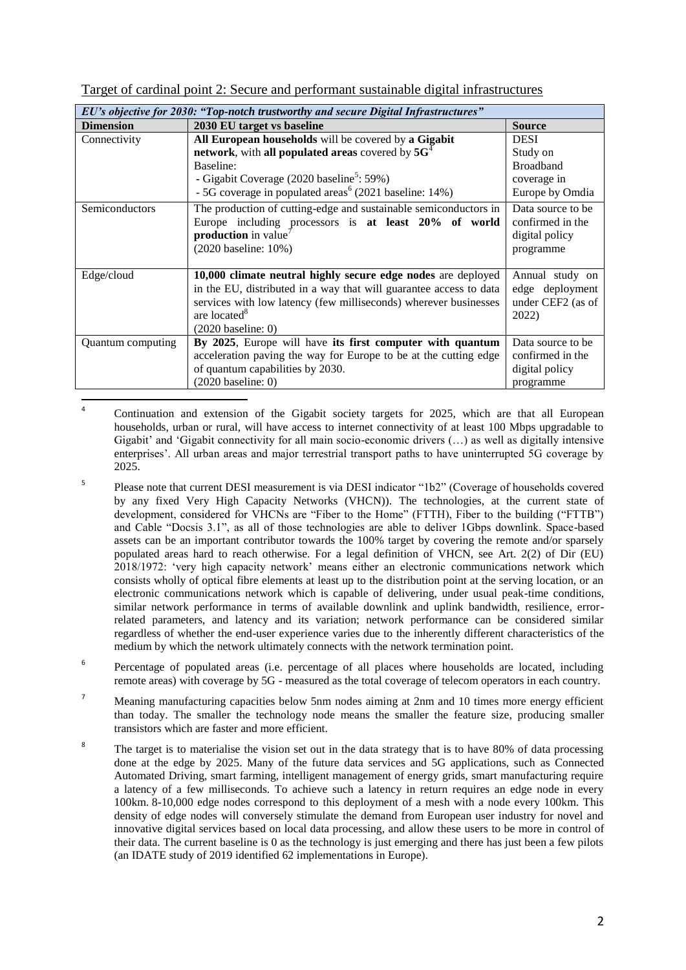|  | Target of cardinal point 2: Secure and performant sustainable digital infrastructures |  |
|--|---------------------------------------------------------------------------------------|--|
|  |                                                                                       |  |

| EU's objective for 2030: "Top-notch trustworthy and secure Digital Infrastructures" |                                                                                                                                                                                                                                                            |                                                                       |
|-------------------------------------------------------------------------------------|------------------------------------------------------------------------------------------------------------------------------------------------------------------------------------------------------------------------------------------------------------|-----------------------------------------------------------------------|
| <b>Dimension</b>                                                                    | 2030 EU target vs baseline                                                                                                                                                                                                                                 | <b>Source</b>                                                         |
| Connectivity                                                                        | All European households will be covered by a Gigabit                                                                                                                                                                                                       | <b>DESI</b>                                                           |
|                                                                                     | network, with all populated areas covered by 5G <sup>4</sup>                                                                                                                                                                                               | Study on                                                              |
|                                                                                     | Baseline:                                                                                                                                                                                                                                                  | <b>Broadband</b>                                                      |
|                                                                                     | - Gigabit Coverage (2020 baseline <sup>5</sup> : 59%)                                                                                                                                                                                                      | coverage in                                                           |
|                                                                                     | - 5G coverage in populated areas <sup>6</sup> (2021 baseline: 14%)                                                                                                                                                                                         | Europe by Omdia                                                       |
| Semiconductors                                                                      | The production of cutting-edge and sustainable semiconductors in<br>Europe including processors is at least 20% of world<br>production in value<br>(2020 baseline: 10%)                                                                                    | Data source to be.<br>confirmed in the<br>digital policy<br>programme |
| Edge/cloud                                                                          | 10,000 climate neutral highly secure edge nodes are deployed<br>in the EU, distributed in a way that will guarantee access to data<br>services with low latency (few milliseconds) wherever businesses<br>are located <sup>8</sup><br>$(2020$ baseline: 0) | Annual study on<br>edge deployment<br>under CEF2 (as of<br>2022)      |
| Quantum computing                                                                   | By 2025, Europe will have its first computer with quantum<br>acceleration paving the way for Europe to be at the cutting edge<br>of quantum capabilities by 2030.<br>$(2020 \text{ baseline: } 0)$                                                         | Data source to be<br>confirmed in the<br>digital policy<br>programme  |

- **.** 4 Continuation and extension of the Gigabit society targets for 2025, which are that all European households, urban or rural, will have access to internet connectivity of at least 100 Mbps upgradable to Gigabit' and 'Gigabit connectivity for all main socio-economic drivers (…) as well as digitally intensive enterprises'. All urban areas and major terrestrial transport paths to have uninterrupted 5G coverage by 2025.
- 5 Please note that current DESI measurement is via DESI indicator "1b2" (Coverage of households covered by any fixed Very High Capacity Networks (VHCN)). The technologies, at the current state of development, considered for VHCNs are "Fiber to the Home" (FTTH), Fiber to the building ("FTTB") and Cable "Docsis 3.1", as all of those technologies are able to deliver 1Gbps downlink. Space-based assets can be an important contributor towards the 100% target by covering the remote and/or sparsely populated areas hard to reach otherwise. For a legal definition of VHCN, see Art. 2(2) of Dir (EU) 2018/1972: 'very high capacity network' means either an electronic communications network which consists wholly of optical fibre elements at least up to the distribution point at the serving location, or an electronic communications network which is capable of delivering, under usual peak-time conditions, similar network performance in terms of available downlink and uplink bandwidth, resilience, errorrelated parameters, and latency and its variation; network performance can be considered similar regardless of whether the end-user experience varies due to the inherently different characteristics of the medium by which the network ultimately connects with the network termination point.
- 6 Percentage of populated areas (i.e. percentage of all places where households are located, including remote areas) with coverage by 5G - measured as the total coverage of telecom operators in each country.
- <sup>7</sup> Meaning manufacturing capacities below 5nm nodes aiming at 2nm and 10 times more energy efficient than today. The smaller the technology node means the smaller the feature size, producing smaller transistors which are faster and more efficient.
- 8 The target is to materialise the vision set out in the data strategy that is to have 80% of data processing done at the edge by 2025. Many of the future data services and 5G applications, such as Connected Automated Driving, smart farming, intelligent management of energy grids, smart manufacturing require a latency of a few milliseconds. To achieve such a latency in return requires an edge node in every 100km. 8-10,000 edge nodes correspond to this deployment of a mesh with a node every 100km. This density of edge nodes will conversely stimulate the demand from European user industry for novel and innovative digital services based on local data processing, and allow these users to be more in control of their data. The current baseline is 0 as the technology is just emerging and there has just been a few pilots (an IDATE study of 2019 identified 62 implementations in Europe).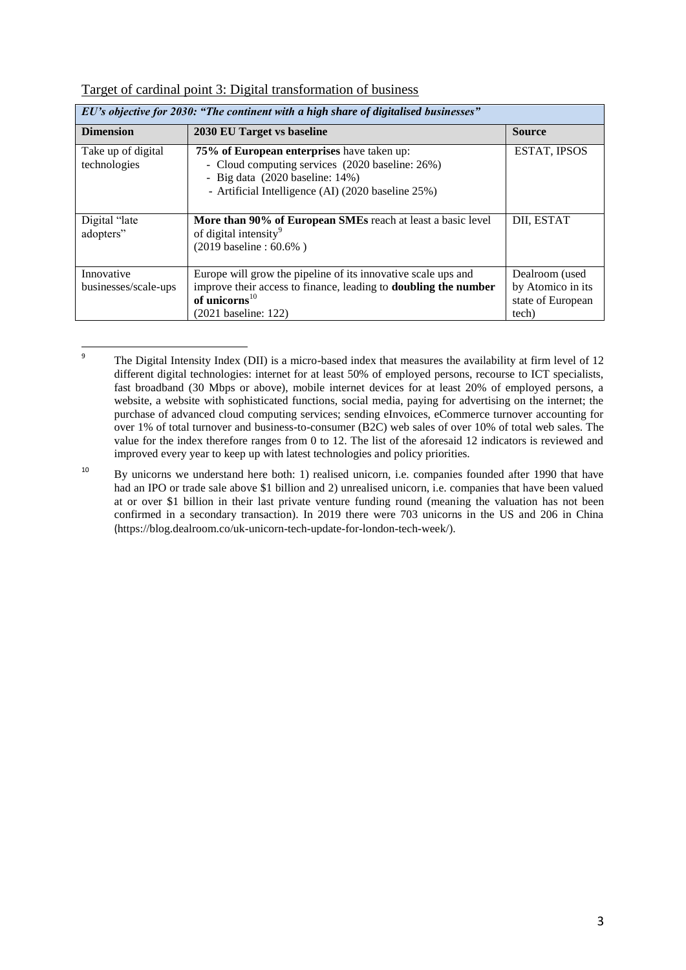| EU's objective for 2030: "The continent with a high share of digitalised businesses" |                                                                                                                                                                                                   |                                                                   |  |
|--------------------------------------------------------------------------------------|---------------------------------------------------------------------------------------------------------------------------------------------------------------------------------------------------|-------------------------------------------------------------------|--|
| <b>Dimension</b>                                                                     | 2030 EU Target vs baseline                                                                                                                                                                        | <b>Source</b>                                                     |  |
| Take up of digital<br>technologies                                                   | 75% of European enterprises have taken up:<br>- Cloud computing services (2020 baseline: 26%)<br>- Big data $(2020 \text{ baseline}: 14\%)$<br>- Artificial Intelligence (AI) (2020 baseline 25%) | ESTAT, IPSOS                                                      |  |
| Digital "late"<br>adopters"                                                          | More than 90% of European SMEs reach at least a basic level<br>of digital intensity <sup>9</sup><br>$(2019 \text{ baseline} : 60.6\%)$                                                            | DII, ESTAT                                                        |  |
| Innovative<br>businesses/scale-ups                                                   | Europe will grow the pipeline of its innovative scale ups and<br>improve their access to finance, leading to <b>doubling the number</b><br>of unicorns $^{10}$<br>(2021 baseline: 122)            | Dealroom (used<br>by Atomico in its<br>state of European<br>tech) |  |

## Target of cardinal point 3: Digital transformation of business

ــ<br>9 The Digital Intensity Index (DII) is a micro-based index that measures the availability at firm level of 12 different digital technologies: internet for at least 50% of employed persons, recourse to ICT specialists, fast broadband (30 Mbps or above), mobile internet devices for at least 20% of employed persons, a website, a website with sophisticated functions, social media, paying for advertising on the internet; the purchase of advanced cloud computing services; sending eInvoices, eCommerce turnover accounting for over 1% of total turnover and business-to-consumer (B2C) web sales of over 10% of total web sales. The value for the index therefore ranges from 0 to 12. The list of the aforesaid 12 indicators is reviewed and improved every year to keep up with latest technologies and policy priorities.

<sup>&</sup>lt;sup>10</sup> By unicorns we understand here both: 1) realised unicorn, i.e. companies founded after 1990 that have had an IPO or trade sale above \$1 billion and 2) unrealised unicorn, i.e. companies that have been valued at or over \$1 billion in their last private venture funding round (meaning the valuation has not been confirmed in a secondary transaction). In 2019 there were 703 unicorns in the US and 206 in China (https://blog.dealroom.co/uk-unicorn-tech-update-for-london-tech-week/).